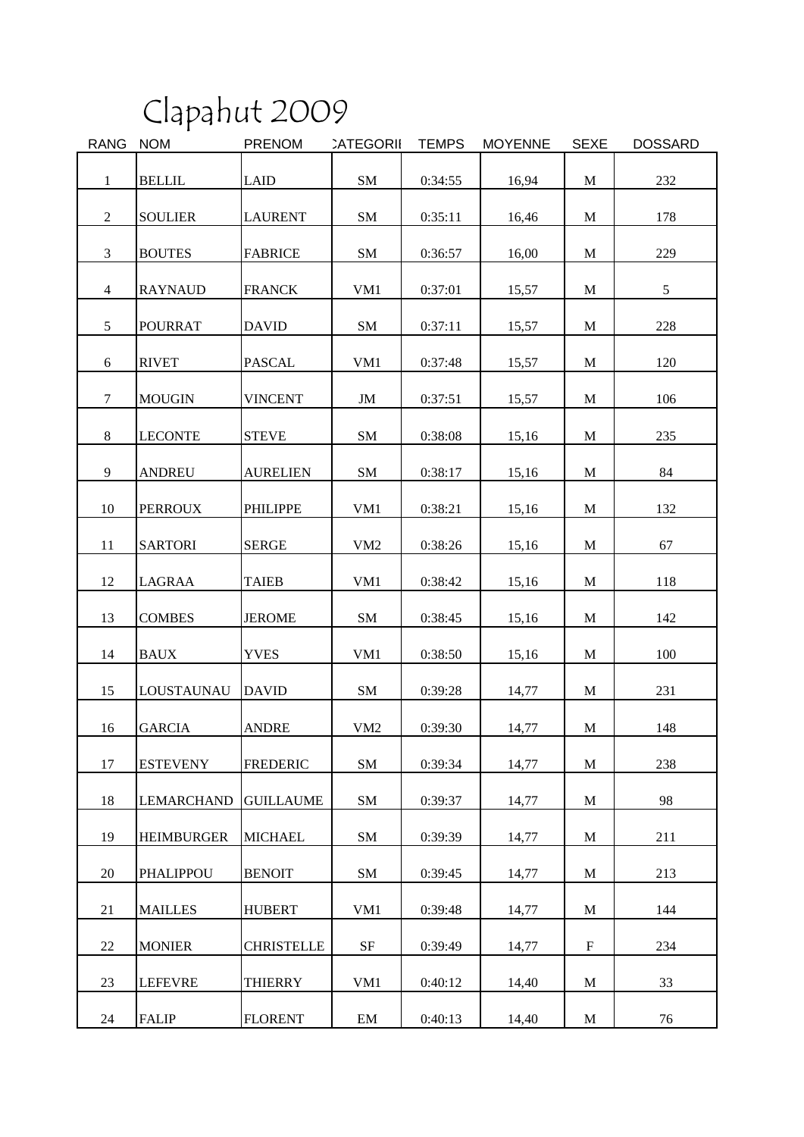## Clapahut 2009

| <b>RANG</b>     | <b>NOM</b>        | <b>PRENOM</b>     | <b>CATEGORII</b> | <b>TEMPS</b> | <b>MOYENNE</b> | <b>SEXE</b>  | <b>DOSSARD</b> |
|-----------------|-------------------|-------------------|------------------|--------------|----------------|--------------|----------------|
| $\mathbf{1}$    | <b>BELLIL</b>     | <b>LAID</b>       | SM               | 0:34:55      | 16,94          | $\mathbf{M}$ | 232            |
|                 |                   |                   |                  |              |                |              |                |
| $\overline{2}$  | <b>SOULIER</b>    | <b>LAURENT</b>    | SM               | 0:35:11      | 16,46          | M            | 178            |
| $\mathfrak{Z}$  | <b>BOUTES</b>     | <b>FABRICE</b>    | SM               | 0:36:57      | 16,00          | $\mathbf{M}$ | 229            |
| $\overline{4}$  | <b>RAYNAUD</b>    | <b>FRANCK</b>     | VM1              | 0:37:01      | 15,57          | M            | 5              |
| $5\overline{)}$ | <b>POURRAT</b>    | <b>DAVID</b>      | SM               | 0:37:11      | 15,57          | $\mathbf{M}$ | 228            |
| 6               | <b>RIVET</b>      | <b>PASCAL</b>     | VM1              | 0:37:48      | 15,57          | M            | 120            |
| $\overline{7}$  | <b>MOUGIN</b>     | <b>VINCENT</b>    | JM               | 0:37:51      | 15,57          | $\mathbf{M}$ | 106            |
| 8               | <b>LECONTE</b>    | <b>STEVE</b>      | <b>SM</b>        | 0:38:08      | 15,16          | M            | 235            |
| 9               | <b>ANDREU</b>     | <b>AURELIEN</b>   | SM               | 0:38:17      | 15,16          | $\mathbf{M}$ | 84             |
| 10              | <b>PERROUX</b>    | <b>PHILIPPE</b>   | VM1              | 0:38:21      | 15,16          | M            | 132            |
| 11              | <b>SARTORI</b>    | <b>SERGE</b>      | VM2              | 0:38:26      | 15,16          | $\mathbf{M}$ | 67             |
| 12              | LAGRAA            | <b>TAIEB</b>      | VM1              | 0:38:42      | 15,16          | M            | 118            |
| 13              | <b>COMBES</b>     | <b>JEROME</b>     | SM               | 0:38:45      | 15,16          | $\mathbf{M}$ | 142            |
| 14              | <b>BAUX</b>       | <b>YVES</b>       | VM1              | 0:38:50      | 15,16          | M            | 100            |
| 15              | LOUSTAUNAU        | <b>DAVID</b>      | SM               | 0:39:28      | 14,77          | $\mathbf M$  | 231            |
| 16              | <b>GARCIA</b>     | <b>ANDRE</b>      | VM <sub>2</sub>  | 0:39:30      | 14,77          | M            | 148            |
| 17              | <b>ESTEVENY</b>   | <b>FREDERIC</b>   | <b>SM</b>        | 0:39:34      | 14,77          | $\mathbf M$  | 238            |
| 18              | <b>LEMARCHAND</b> | <b>GUILLAUME</b>  | SM               | 0:39:37      | 14,77          | M            | 98             |
| 19              | <b>HEIMBURGER</b> | <b>MICHAEL</b>    | SM               | 0:39:39      | 14,77          | M            | 211            |
| 20              | <b>PHALIPPOU</b>  | <b>BENOIT</b>     | SM               | 0:39:45      | 14,77          | M            | 213            |
| 21              | <b>MAILLES</b>    | <b>HUBERT</b>     | VM1              | 0:39:48      | 14,77          | M            | 144            |
| 22              | <b>MONIER</b>     | <b>CHRISTELLE</b> | $\rm{SF}$        | 0:39:49      | 14,77          | $\mathbf F$  | 234            |
| 23              | <b>LEFEVRE</b>    | <b>THIERRY</b>    | VM1              | 0:40:12      | 14,40          | M            | 33             |
| 24              | <b>FALIP</b>      | <b>FLORENT</b>    | EM               | 0:40:13      | 14,40          | M            | 76             |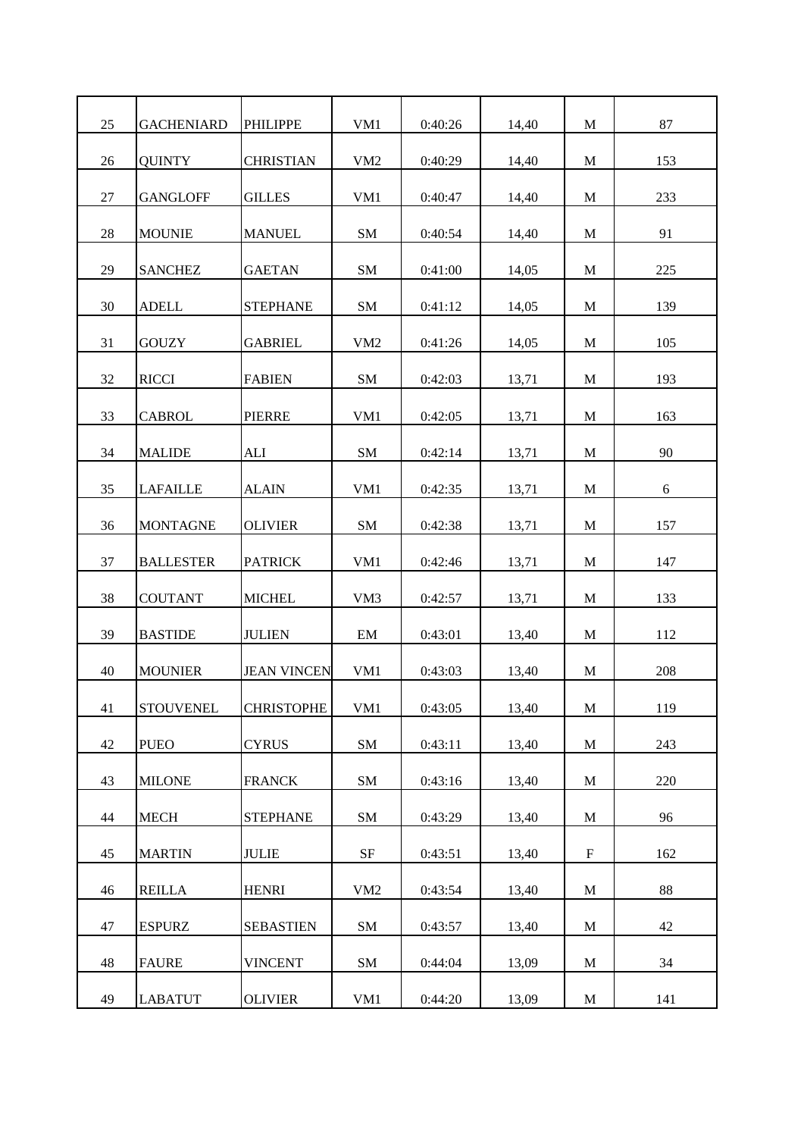| 25 | <b>GACHENIARD</b> | <b>PHILIPPE</b>    | VM1             | 0:40:26 | 14,40 | M                         | 87  |
|----|-------------------|--------------------|-----------------|---------|-------|---------------------------|-----|
| 26 | <b>QUINTY</b>     | <b>CHRISTIAN</b>   | VM <sub>2</sub> | 0:40:29 | 14,40 | M                         | 153 |
| 27 | <b>GANGLOFF</b>   | <b>GILLES</b>      | VM1             | 0:40:47 | 14,40 | M                         | 233 |
| 28 | <b>MOUNIE</b>     | <b>MANUEL</b>      | SM              | 0:40:54 | 14,40 | M                         | 91  |
| 29 | <b>SANCHEZ</b>    | <b>GAETAN</b>      | SM              | 0:41:00 | 14,05 | M                         | 225 |
| 30 | <b>ADELL</b>      | <b>STEPHANE</b>    | <b>SM</b>       | 0:41:12 | 14,05 | M                         | 139 |
| 31 | <b>GOUZY</b>      | <b>GABRIEL</b>     | VM <sub>2</sub> | 0:41:26 | 14,05 | M                         | 105 |
| 32 | <b>RICCI</b>      | <b>FABIEN</b>      | SM              | 0:42:03 | 13,71 | M                         | 193 |
| 33 | <b>CABROL</b>     | <b>PIERRE</b>      | VM1             | 0:42:05 | 13,71 | M                         | 163 |
| 34 | <b>MALIDE</b>     | <b>ALI</b>         | <b>SM</b>       | 0:42:14 | 13,71 | M                         | 90  |
| 35 | <b>LAFAILLE</b>   | <b>ALAIN</b>       | VM1             | 0:42:35 | 13,71 | M                         | 6   |
| 36 | <b>MONTAGNE</b>   | <b>OLIVIER</b>     | SM              | 0:42:38 | 13,71 | M                         | 157 |
| 37 | <b>BALLESTER</b>  | <b>PATRICK</b>     | VM1             | 0:42:46 | 13,71 | M                         | 147 |
| 38 | <b>COUTANT</b>    | <b>MICHEL</b>      | VM <sub>3</sub> | 0:42:57 | 13,71 | M                         | 133 |
| 39 | <b>BASTIDE</b>    | <b>JULIEN</b>      | EM              | 0:43:01 | 13,40 | M                         | 112 |
| 40 | <b>MOUNIER</b>    | <b>JEAN VINCEN</b> | VM1             | 0:43:03 | 13,40 | M                         | 208 |
| 41 | <b>STOUVENEL</b>  | <b>CHRISTOPHE</b>  | VM1             | 0:43:05 | 13,40 | $\mathbf M$               | 119 |
| 42 | <b>PUEO</b>       | <b>CYRUS</b>       | SM              | 0:43:11 | 13,40 | M                         | 243 |
| 43 | <b>MILONE</b>     | <b>FRANCK</b>      | SM              | 0:43:16 | 13,40 | $\mathbf M$               | 220 |
| 44 | <b>MECH</b>       | <b>STEPHANE</b>    | SM              | 0:43:29 | 13,40 | $\mathbf M$               | 96  |
| 45 | <b>MARTIN</b>     | <b>JULIE</b>       | SF              | 0:43:51 | 13,40 | $\boldsymbol{\mathrm{F}}$ | 162 |
| 46 | <b>REILLA</b>     | <b>HENRI</b>       | VM <sub>2</sub> | 0:43:54 | 13,40 | M                         | 88  |
| 47 | <b>ESPURZ</b>     | <b>SEBASTIEN</b>   | SM              | 0:43:57 | 13,40 | M                         | 42  |
| 48 | <b>FAURE</b>      | <b>VINCENT</b>     | SM              | 0:44:04 | 13,09 | $\mathbf M$               | 34  |
| 49 | <b>LABATUT</b>    | <b>OLIVIER</b>     | VM1             | 0:44:20 | 13,09 | M                         | 141 |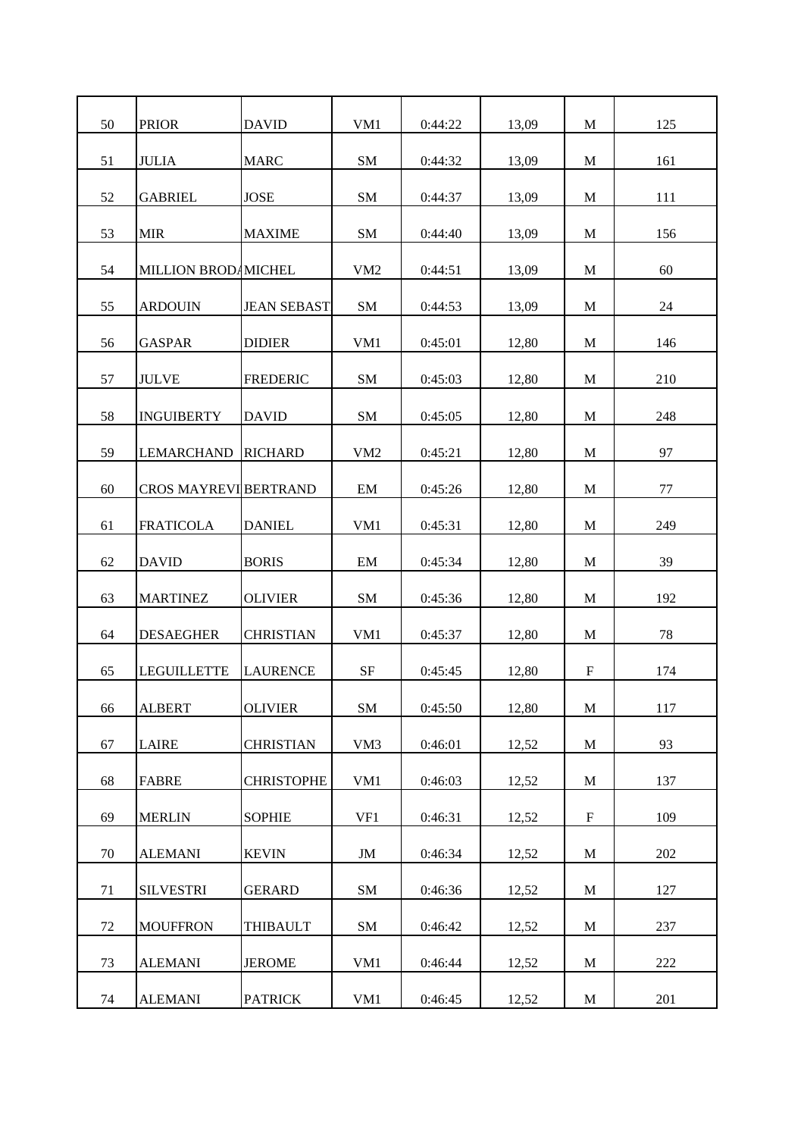| 50 | <b>PRIOR</b>                 | <b>DAVID</b>       | VM1             | 0:44:22 | 13,09 | M            | 125 |
|----|------------------------------|--------------------|-----------------|---------|-------|--------------|-----|
| 51 | <b>JULIA</b>                 | <b>MARC</b>        | SM              | 0:44:32 | 13,09 | M            | 161 |
| 52 | <b>GABRIEL</b>               | <b>JOSE</b>        | SM              | 0:44:37 | 13,09 | M            | 111 |
| 53 | <b>MIR</b>                   | <b>MAXIME</b>      | SM              | 0:44:40 | 13,09 | M            | 156 |
| 54 | MILLION BROD MICHEL          |                    | VM <sub>2</sub> | 0:44:51 | 13,09 | M            | 60  |
| 55 | <b>ARDOUIN</b>               | <b>JEAN SEBAST</b> | <b>SM</b>       | 0:44:53 | 13,09 | M            | 24  |
| 56 | <b>GASPAR</b>                | <b>DIDIER</b>      | VM1             | 0:45:01 | 12,80 | M            | 146 |
| 57 | <b>JULVE</b>                 | <b>FREDERIC</b>    | SM              | 0:45:03 | 12,80 | M            | 210 |
| 58 | <b>INGUIBERTY</b>            | <b>DAVID</b>       | SM              | 0:45:05 | 12,80 | M            | 248 |
| 59 | <b>LEMARCHAND</b>            | <b>RICHARD</b>     | VM2             | 0:45:21 | 12,80 | M            | 97  |
| 60 | <b>CROS MAYREVI BERTRAND</b> |                    | EM              | 0:45:26 | 12,80 | M            | 77  |
| 61 | <b>FRATICOLA</b>             | <b>DANIEL</b>      | VM <sub>1</sub> | 0:45:31 | 12,80 | M            | 249 |
| 62 | <b>DAVID</b>                 | <b>BORIS</b>       | EM              | 0:45:34 | 12,80 | M            | 39  |
| 63 | <b>MARTINEZ</b>              | <b>OLIVIER</b>     | SM              | 0:45:36 | 12,80 | M            | 192 |
| 64 | <b>DESAEGHER</b>             | <b>CHRISTIAN</b>   | VM1             | 0:45:37 | 12,80 | M            | 78  |
| 65 | <b>LEGUILLETTE</b>           | <b>LAURENCE</b>    | SF              | 0:45:45 | 12,80 | F            | 174 |
| 66 | <b>ALBERT</b>                | <b>OLIVIER</b>     | SM              | 0:45:50 | 12,80 | $\mathbf M$  | 117 |
| 67 | <b>LAIRE</b>                 | <b>CHRISTIAN</b>   | VM <sub>3</sub> | 0:46:01 |       | M            | 93  |
|    | <b>FABRE</b>                 |                    |                 |         | 12,52 |              |     |
| 68 |                              | <b>CHRISTOPHE</b>  | VM1             | 0:46:03 | 12,52 | $\mathbf{M}$ | 137 |
| 69 | <b>MERLIN</b>                | <b>SOPHIE</b>      | VF1             | 0:46:31 | 12,52 | $\mathbf F$  | 109 |
| 70 | <b>ALEMANI</b>               | <b>KEVIN</b>       | JM              | 0:46:34 | 12,52 | M            | 202 |
| 71 | <b>SILVESTRI</b>             | <b>GERARD</b>      | SM              | 0:46:36 | 12,52 | M            | 127 |
| 72 | <b>MOUFFRON</b>              | <b>THIBAULT</b>    | SM              | 0:46:42 | 12,52 | $\mathbf M$  | 237 |
| 73 | <b>ALEMANI</b>               | <b>JEROME</b>      | VM1             | 0:46:44 | 12,52 | M            | 222 |
| 74 | <b>ALEMANI</b>               | <b>PATRICK</b>     | VM1             | 0:46:45 | 12,52 | M            | 201 |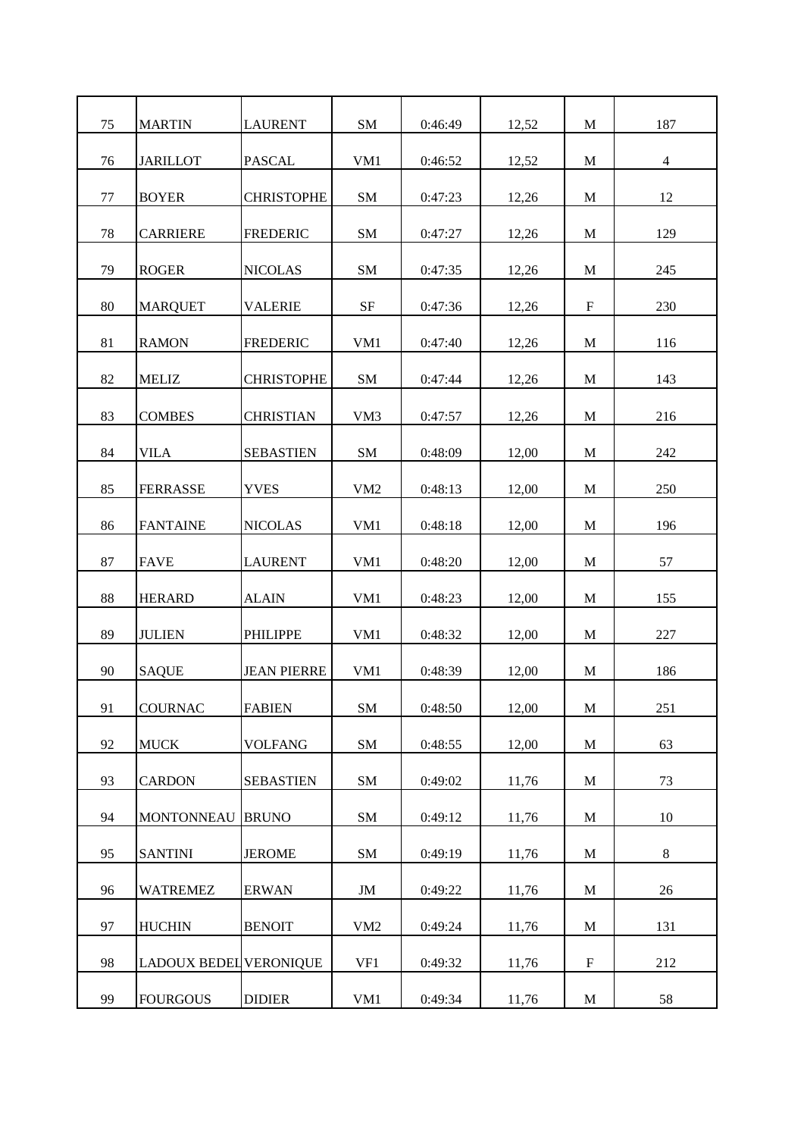| 75<br>SM<br>187<br><b>MARTIN</b><br><b>LAURENT</b><br>0:46:49<br>12,52<br>M<br>76<br><b>JARILLOT</b><br>$\overline{4}$<br><b>PASCAL</b><br>VM <sub>1</sub><br>0:46:52<br>12,52<br>M<br>12<br>77<br><b>BOYER</b><br><b>CHRISTOPHE</b><br>SM<br>0:47:23<br>12,26<br>M<br>78<br><b>FREDERIC</b><br>SM<br>129<br><b>CARRIERE</b><br>0:47:27<br>12,26<br>M<br>79<br><b>SM</b><br>245<br><b>ROGER</b><br><b>NICOLAS</b><br>0:47:35<br>12,26<br>M<br>80<br><b>SF</b><br>$\mathbf F$<br>230<br><b>MARQUET</b><br><b>VALERIE</b><br>0:47:36<br>12,26<br>81<br><b>FREDERIC</b><br>VM1<br>M<br><b>RAMON</b><br>0:47:40<br>12,26<br>116<br>82<br><b>MELIZ</b><br><b>CHRISTOPHE</b><br>SM<br>143<br>0:47:44<br>12,26<br>M<br>83<br><b>COMBES</b><br><b>CHRISTIAN</b><br>VM3<br>M<br>216<br>0:47:57<br>12,26<br>84<br>VILA<br><b>SEBASTIEN</b><br><b>SM</b><br>0:48:09<br>242<br>12,00<br>M<br>85<br><b>YVES</b><br>VM <sub>2</sub><br>0:48:13<br>M<br>250<br><b>FERRASSE</b><br>12,00<br>86<br><b>FANTAINE</b><br><b>NICOLAS</b><br>VM1<br>0:48:18<br>M<br>196<br>12,00<br>57<br>87<br><b>FAVE</b><br><b>LAURENT</b><br>VM1<br>0:48:20<br>M<br>12,00<br>88<br><b>HERARD</b><br><b>ALAIN</b><br>VM1<br>0:48:23<br>12,00<br>M<br>155<br>89<br>227<br><b>JULIEN</b><br><b>PHILIPPE</b><br>VM1<br>0:48:32<br>M<br>12,00<br>186<br>90<br><b>SAQUE</b><br><b>JEAN PIERRE</b><br>VM1<br>0:48:39<br>12,00<br>M<br>SM<br>12,00<br>251<br>91<br><b>COURNAC</b><br><b>FABIEN</b><br>0:48:50<br>$\mathbf M$<br>92<br><b>MUCK</b><br><b>VOLFANG</b><br>SM<br>0:48:55<br>12,00<br>63<br>M<br>93<br><b>CARDON</b><br>SM<br>0:49:02<br>73<br><b>SEBASTIEN</b><br>11,76<br>$\mathbf{M}$ |  |  |  |  |
|-----------------------------------------------------------------------------------------------------------------------------------------------------------------------------------------------------------------------------------------------------------------------------------------------------------------------------------------------------------------------------------------------------------------------------------------------------------------------------------------------------------------------------------------------------------------------------------------------------------------------------------------------------------------------------------------------------------------------------------------------------------------------------------------------------------------------------------------------------------------------------------------------------------------------------------------------------------------------------------------------------------------------------------------------------------------------------------------------------------------------------------------------------------------------------------------------------------------------------------------------------------------------------------------------------------------------------------------------------------------------------------------------------------------------------------------------------------------------------------------------------------------------------------------------------------------------------------------------------------------------------------------------------------|--|--|--|--|
|                                                                                                                                                                                                                                                                                                                                                                                                                                                                                                                                                                                                                                                                                                                                                                                                                                                                                                                                                                                                                                                                                                                                                                                                                                                                                                                                                                                                                                                                                                                                                                                                                                                           |  |  |  |  |
|                                                                                                                                                                                                                                                                                                                                                                                                                                                                                                                                                                                                                                                                                                                                                                                                                                                                                                                                                                                                                                                                                                                                                                                                                                                                                                                                                                                                                                                                                                                                                                                                                                                           |  |  |  |  |
|                                                                                                                                                                                                                                                                                                                                                                                                                                                                                                                                                                                                                                                                                                                                                                                                                                                                                                                                                                                                                                                                                                                                                                                                                                                                                                                                                                                                                                                                                                                                                                                                                                                           |  |  |  |  |
|                                                                                                                                                                                                                                                                                                                                                                                                                                                                                                                                                                                                                                                                                                                                                                                                                                                                                                                                                                                                                                                                                                                                                                                                                                                                                                                                                                                                                                                                                                                                                                                                                                                           |  |  |  |  |
|                                                                                                                                                                                                                                                                                                                                                                                                                                                                                                                                                                                                                                                                                                                                                                                                                                                                                                                                                                                                                                                                                                                                                                                                                                                                                                                                                                                                                                                                                                                                                                                                                                                           |  |  |  |  |
|                                                                                                                                                                                                                                                                                                                                                                                                                                                                                                                                                                                                                                                                                                                                                                                                                                                                                                                                                                                                                                                                                                                                                                                                                                                                                                                                                                                                                                                                                                                                                                                                                                                           |  |  |  |  |
|                                                                                                                                                                                                                                                                                                                                                                                                                                                                                                                                                                                                                                                                                                                                                                                                                                                                                                                                                                                                                                                                                                                                                                                                                                                                                                                                                                                                                                                                                                                                                                                                                                                           |  |  |  |  |
|                                                                                                                                                                                                                                                                                                                                                                                                                                                                                                                                                                                                                                                                                                                                                                                                                                                                                                                                                                                                                                                                                                                                                                                                                                                                                                                                                                                                                                                                                                                                                                                                                                                           |  |  |  |  |
|                                                                                                                                                                                                                                                                                                                                                                                                                                                                                                                                                                                                                                                                                                                                                                                                                                                                                                                                                                                                                                                                                                                                                                                                                                                                                                                                                                                                                                                                                                                                                                                                                                                           |  |  |  |  |
|                                                                                                                                                                                                                                                                                                                                                                                                                                                                                                                                                                                                                                                                                                                                                                                                                                                                                                                                                                                                                                                                                                                                                                                                                                                                                                                                                                                                                                                                                                                                                                                                                                                           |  |  |  |  |
|                                                                                                                                                                                                                                                                                                                                                                                                                                                                                                                                                                                                                                                                                                                                                                                                                                                                                                                                                                                                                                                                                                                                                                                                                                                                                                                                                                                                                                                                                                                                                                                                                                                           |  |  |  |  |
|                                                                                                                                                                                                                                                                                                                                                                                                                                                                                                                                                                                                                                                                                                                                                                                                                                                                                                                                                                                                                                                                                                                                                                                                                                                                                                                                                                                                                                                                                                                                                                                                                                                           |  |  |  |  |
|                                                                                                                                                                                                                                                                                                                                                                                                                                                                                                                                                                                                                                                                                                                                                                                                                                                                                                                                                                                                                                                                                                                                                                                                                                                                                                                                                                                                                                                                                                                                                                                                                                                           |  |  |  |  |
|                                                                                                                                                                                                                                                                                                                                                                                                                                                                                                                                                                                                                                                                                                                                                                                                                                                                                                                                                                                                                                                                                                                                                                                                                                                                                                                                                                                                                                                                                                                                                                                                                                                           |  |  |  |  |
|                                                                                                                                                                                                                                                                                                                                                                                                                                                                                                                                                                                                                                                                                                                                                                                                                                                                                                                                                                                                                                                                                                                                                                                                                                                                                                                                                                                                                                                                                                                                                                                                                                                           |  |  |  |  |
|                                                                                                                                                                                                                                                                                                                                                                                                                                                                                                                                                                                                                                                                                                                                                                                                                                                                                                                                                                                                                                                                                                                                                                                                                                                                                                                                                                                                                                                                                                                                                                                                                                                           |  |  |  |  |
|                                                                                                                                                                                                                                                                                                                                                                                                                                                                                                                                                                                                                                                                                                                                                                                                                                                                                                                                                                                                                                                                                                                                                                                                                                                                                                                                                                                                                                                                                                                                                                                                                                                           |  |  |  |  |
|                                                                                                                                                                                                                                                                                                                                                                                                                                                                                                                                                                                                                                                                                                                                                                                                                                                                                                                                                                                                                                                                                                                                                                                                                                                                                                                                                                                                                                                                                                                                                                                                                                                           |  |  |  |  |
|                                                                                                                                                                                                                                                                                                                                                                                                                                                                                                                                                                                                                                                                                                                                                                                                                                                                                                                                                                                                                                                                                                                                                                                                                                                                                                                                                                                                                                                                                                                                                                                                                                                           |  |  |  |  |
|                                                                                                                                                                                                                                                                                                                                                                                                                                                                                                                                                                                                                                                                                                                                                                                                                                                                                                                                                                                                                                                                                                                                                                                                                                                                                                                                                                                                                                                                                                                                                                                                                                                           |  |  |  |  |
| 94<br>SM<br><b>MONTONNEAU</b><br><b>BRUNO</b><br>0:49:12<br>11,76<br>$\mathbf{M}$<br>10                                                                                                                                                                                                                                                                                                                                                                                                                                                                                                                                                                                                                                                                                                                                                                                                                                                                                                                                                                                                                                                                                                                                                                                                                                                                                                                                                                                                                                                                                                                                                                   |  |  |  |  |
| 95<br>SM<br>8<br><b>SANTINI</b><br><b>JEROME</b><br>0:49:19<br>$\mathbf M$<br>11,76                                                                                                                                                                                                                                                                                                                                                                                                                                                                                                                                                                                                                                                                                                                                                                                                                                                                                                                                                                                                                                                                                                                                                                                                                                                                                                                                                                                                                                                                                                                                                                       |  |  |  |  |
| 96<br><b>WATREMEZ</b><br><b>ERWAN</b><br>JM<br>0:49:22<br>11,76<br>$\mathbf{M}$<br>26                                                                                                                                                                                                                                                                                                                                                                                                                                                                                                                                                                                                                                                                                                                                                                                                                                                                                                                                                                                                                                                                                                                                                                                                                                                                                                                                                                                                                                                                                                                                                                     |  |  |  |  |
| 97<br>VM2<br>131<br><b>HUCHIN</b><br><b>BENOIT</b><br>0:49:24<br>11,76<br>$\mathbf{M}$                                                                                                                                                                                                                                                                                                                                                                                                                                                                                                                                                                                                                                                                                                                                                                                                                                                                                                                                                                                                                                                                                                                                                                                                                                                                                                                                                                                                                                                                                                                                                                    |  |  |  |  |
| 98<br><b>LADOUX BEDEL VERONIQUE</b><br>VF1<br>$\boldsymbol{\mathrm{F}}$<br>212<br>0:49:32<br>11,76                                                                                                                                                                                                                                                                                                                                                                                                                                                                                                                                                                                                                                                                                                                                                                                                                                                                                                                                                                                                                                                                                                                                                                                                                                                                                                                                                                                                                                                                                                                                                        |  |  |  |  |
| 99<br><b>DIDIER</b><br><b>FOURGOUS</b><br>VM1<br>58<br>0:49:34<br>11,76<br>M                                                                                                                                                                                                                                                                                                                                                                                                                                                                                                                                                                                                                                                                                                                                                                                                                                                                                                                                                                                                                                                                                                                                                                                                                                                                                                                                                                                                                                                                                                                                                                              |  |  |  |  |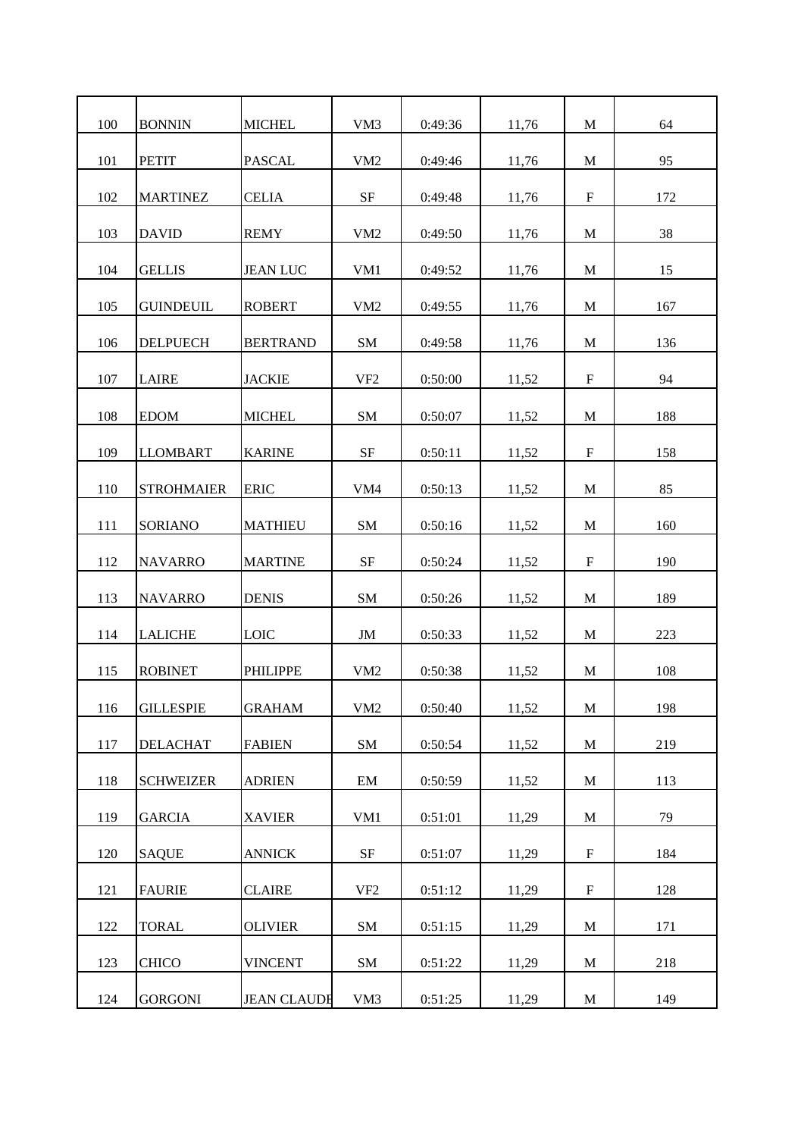| 100 | <b>BONNIN</b>     | <b>MICHEL</b>      | VM3             | 0:49:36 | 11,76 | M                         | 64  |
|-----|-------------------|--------------------|-----------------|---------|-------|---------------------------|-----|
| 101 | <b>PETIT</b>      | <b>PASCAL</b>      | VM <sub>2</sub> | 0:49:46 | 11,76 | M                         | 95  |
| 102 | <b>MARTINEZ</b>   | <b>CELIA</b>       | <b>SF</b>       | 0:49:48 | 11,76 | $\mathbf F$               | 172 |
| 103 | <b>DAVID</b>      | <b>REMY</b>        | VM <sub>2</sub> | 0:49:50 | 11,76 | M                         | 38  |
| 104 | <b>GELLIS</b>     | <b>JEAN LUC</b>    | VM1             | 0:49:52 | 11,76 | M                         | 15  |
| 105 | <b>GUINDEUIL</b>  | <b>ROBERT</b>      | VM <sub>2</sub> | 0:49:55 | 11,76 | M                         | 167 |
| 106 | <b>DELPUECH</b>   | <b>BERTRAND</b>    | SM              | 0:49:58 | 11,76 | M                         | 136 |
| 107 | <b>LAIRE</b>      | <b>JACKIE</b>      | VF <sub>2</sub> | 0:50:00 | 11,52 | $\boldsymbol{\mathrm{F}}$ | 94  |
| 108 | <b>EDOM</b>       | <b>MICHEL</b>      | SM              | 0:50:07 | 11,52 | M                         | 188 |
| 109 | <b>LLOMBART</b>   | <b>KARINE</b>      | SF              | 0:50:11 | 11,52 | F                         | 158 |
| 110 | <b>STROHMAIER</b> | <b>ERIC</b>        | VM4             | 0:50:13 | 11,52 | M                         | 85  |
| 111 | <b>SORIANO</b>    | <b>MATHIEU</b>     | <b>SM</b>       | 0:50:16 | 11,52 | M                         | 160 |
| 112 | <b>NAVARRO</b>    | <b>MARTINE</b>     | <b>SF</b>       | 0:50:24 | 11,52 | $\mathbf F$               | 190 |
| 113 | <b>NAVARRO</b>    | <b>DENIS</b>       | SM              | 0:50:26 | 11,52 | M                         | 189 |
| 114 | <b>LALICHE</b>    | <b>LOIC</b>        | JM              | 0:50:33 | 11,52 | M                         | 223 |
| 115 | <b>ROBINET</b>    | <b>PHILIPPE</b>    | VM <sub>2</sub> | 0:50:38 | 11,52 | M                         | 108 |
| 116 | <b>GILLESPIE</b>  | <b>GRAHAM</b>      | VM2             | 0:50:40 | 11,52 | $\mathbf M$               | 198 |
| 117 | <b>DELACHAT</b>   | <b>FABIEN</b>      | SM              | 0:50:54 | 11,52 | M                         | 219 |
| 118 | <b>SCHWEIZER</b>  | <b>ADRIEN</b>      | EM              | 0:50:59 | 11,52 | $\mathbf{M}$              | 113 |
| 119 | <b>GARCIA</b>     | <b>XAVIER</b>      | VM1             | 0:51:01 | 11,29 | M                         | 79  |
| 120 | <b>SAQUE</b>      | <b>ANNICK</b>      | SF              | 0:51:07 | 11,29 | $\boldsymbol{\mathrm{F}}$ | 184 |
| 121 | <b>FAURIE</b>     | <b>CLAIRE</b>      | VF <sub>2</sub> | 0:51:12 | 11,29 | F                         | 128 |
| 122 | <b>TORAL</b>      | <b>OLIVIER</b>     | SM              | 0:51:15 | 11,29 | $\mathbf M$               | 171 |
| 123 | <b>CHICO</b>      | <b>VINCENT</b>     | SM              | 0:51:22 | 11,29 | $\mathbf M$               | 218 |
| 124 | <b>GORGONI</b>    | <b>JEAN CLAUDE</b> | VM3             | 0:51:25 | 11,29 | M                         | 149 |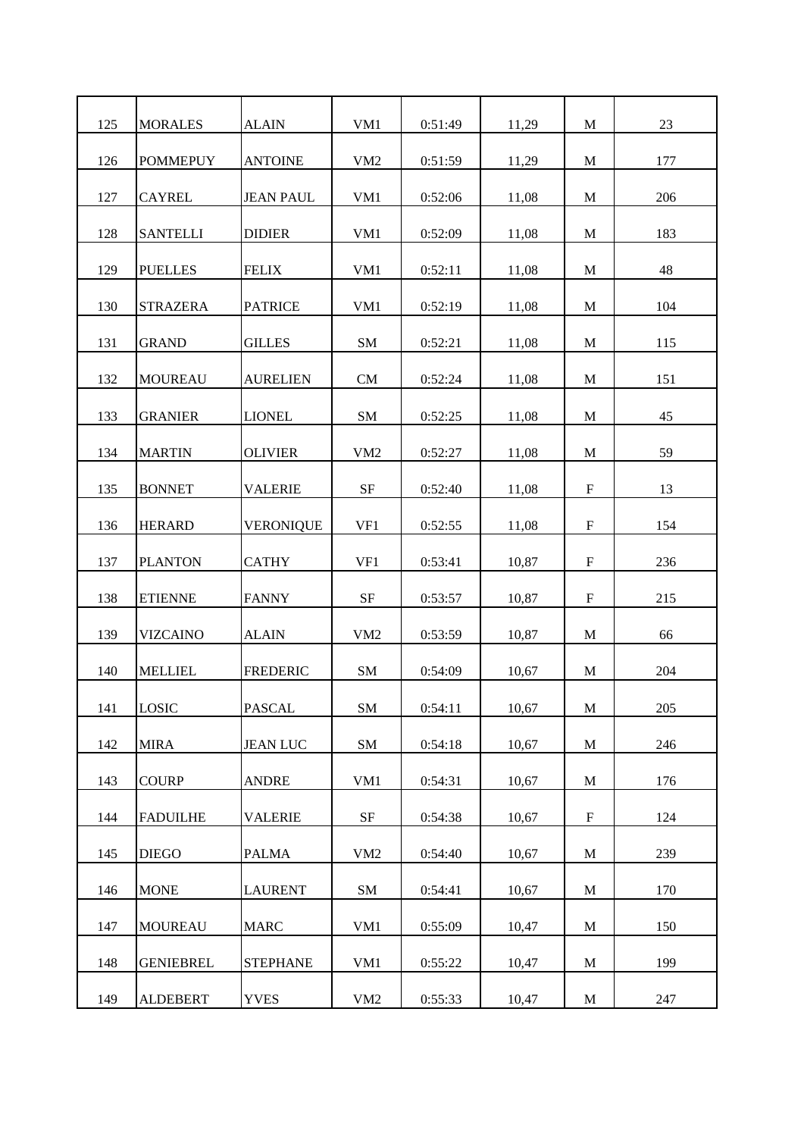| <b>MORALES</b>   | <b>ALAIN</b>     | VM1             | 0:51:49 | 11,29 | M            | 23  |
|------------------|------------------|-----------------|---------|-------|--------------|-----|
| <b>POMMEPUY</b>  | <b>ANTOINE</b>   | VM <sub>2</sub> | 0:51:59 | 11,29 | M            | 177 |
| <b>CAYREL</b>    | <b>JEAN PAUL</b> | VM <sub>1</sub> | 0:52:06 | 11,08 | M            | 206 |
| <b>SANTELLI</b>  | <b>DIDIER</b>    | VM <sub>1</sub> | 0:52:09 | 11,08 | M            | 183 |
| <b>PUELLES</b>   | <b>FELIX</b>     | VM1             | 0:52:11 | 11,08 | M            | 48  |
| <b>STRAZERA</b>  | <b>PATRICE</b>   | VM <sub>1</sub> | 0:52:19 | 11,08 | M            | 104 |
| <b>GRAND</b>     | <b>GILLES</b>    | SM              | 0:52:21 | 11,08 | M            | 115 |
| <b>MOUREAU</b>   | <b>AURELIEN</b>  | <b>CM</b>       | 0:52:24 | 11,08 | M            | 151 |
| <b>GRANIER</b>   | <b>LIONEL</b>    | SM              | 0:52:25 | 11,08 | M            | 45  |
| <b>MARTIN</b>    | <b>OLIVIER</b>   | VM2             | 0:52:27 | 11,08 | M            | 59  |
| <b>BONNET</b>    | <b>VALERIE</b>   | $\rm{SF}$       | 0:52:40 | 11,08 | $\mathbf F$  | 13  |
| <b>HERARD</b>    | <b>VERONIQUE</b> | VF1             | 0:52:55 | 11,08 | F            | 154 |
| <b>PLANTON</b>   | <b>CATHY</b>     | VF1             | 0:53:41 | 10,87 | $\mathbf F$  | 236 |
| <b>ETIENNE</b>   | <b>FANNY</b>     | SF              | 0:53:57 | 10,87 | F            | 215 |
| <b>VIZCAINO</b>  | <b>ALAIN</b>     | VM2             | 0:53:59 | 10,87 | M            | 66  |
| <b>MELLIEL</b>   | <b>FREDERIC</b>  | <b>SM</b>       | 0:54:09 | 10,67 | M            | 204 |
| <b>LOSIC</b>     | <b>PASCAL</b>    | SM              | 0:54:11 | 10,67 | $\mathbf M$  | 205 |
| <b>MIRA</b>      | <b>JEAN LUC</b>  | SM              | 0:54:18 | 10,67 | M            | 246 |
| <b>COURP</b>     | <b>ANDRE</b>     | VM1             | 0:54:31 | 10,67 | $\mathbf{M}$ | 176 |
| <b>FADUILHE</b>  | <b>VALERIE</b>   | SF              | 0:54:38 | 10,67 | $\mathbf F$  | 124 |
| <b>DIEGO</b>     | <b>PALMA</b>     | VM <sub>2</sub> | 0:54:40 | 10,67 | $\mathbf M$  | 239 |
| <b>MONE</b>      | <b>LAURENT</b>   | SM              | 0:54:41 | 10,67 | M            | 170 |
| <b>MOUREAU</b>   | <b>MARC</b>      | VM1             | 0:55:09 | 10,47 | $\mathbf M$  | 150 |
| <b>GENIEBREL</b> | <b>STEPHANE</b>  | VM1             | 0:55:22 | 10,47 | M            | 199 |
| <b>ALDEBERT</b>  | <b>YVES</b>      | VM2             | 0:55:33 | 10,47 | M            | 247 |
|                  |                  |                 |         |       |              |     |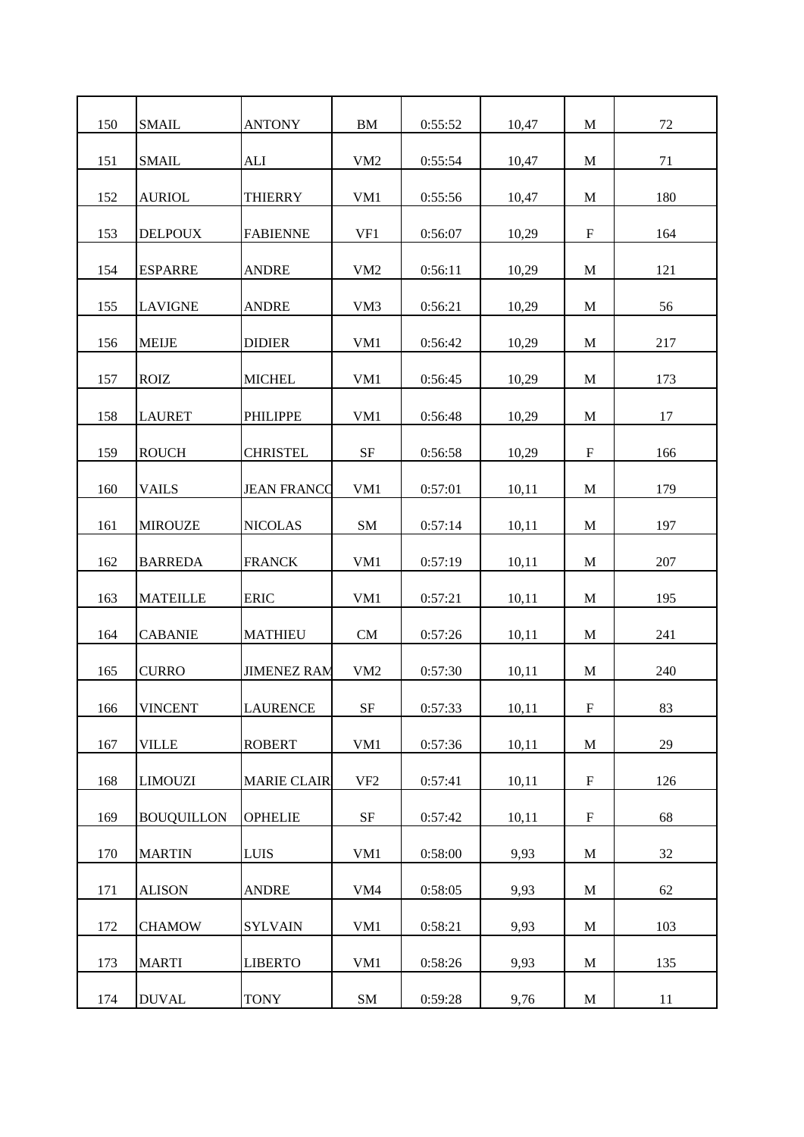| 150 | <b>SMAIL</b>      | <b>ANTONY</b>      | <b>BM</b>       | 0:55:52 | 10,47 | M           | 72  |
|-----|-------------------|--------------------|-----------------|---------|-------|-------------|-----|
| 151 | <b>SMAIL</b>      | <b>ALI</b>         | VM <sub>2</sub> | 0:55:54 | 10,47 | M           | 71  |
| 152 | <b>AURIOL</b>     | <b>THIERRY</b>     | VM1             | 0:55:56 | 10,47 | M           | 180 |
| 153 | <b>DELPOUX</b>    | <b>FABIENNE</b>    | VF1             | 0:56:07 | 10,29 | $\mathbf F$ | 164 |
| 154 | <b>ESPARRE</b>    | <b>ANDRE</b>       | VM <sub>2</sub> | 0:56:11 | 10,29 | M           | 121 |
| 155 | <b>LAVIGNE</b>    | <b>ANDRE</b>       | VM <sub>3</sub> | 0:56:21 | 10,29 | M           | 56  |
| 156 | <b>MEIJE</b>      | <b>DIDIER</b>      | VM1             | 0:56:42 | 10,29 | M           | 217 |
| 157 | <b>ROIZ</b>       | <b>MICHEL</b>      | VM <sub>1</sub> | 0:56:45 | 10,29 | M           | 173 |
| 158 | <b>LAURET</b>     | <b>PHILIPPE</b>    | VM1             | 0:56:48 | 10,29 | M           | 17  |
| 159 | <b>ROUCH</b>      | <b>CHRISTEL</b>    | SF              | 0:56:58 | 10,29 | $\mathbf F$ | 166 |
| 160 | <b>VAILS</b>      | <b>JEAN FRANCO</b> | VM1             | 0:57:01 | 10,11 | M           | 179 |
| 161 | <b>MIROUZE</b>    | <b>NICOLAS</b>     | SM              | 0:57:14 | 10,11 | M           | 197 |
| 162 | <b>BARREDA</b>    | <b>FRANCK</b>      | VM1             | 0:57:19 | 10,11 | M           | 207 |
| 163 | <b>MATEILLE</b>   | <b>ERIC</b>        | VM1             | 0:57:21 | 10,11 | M           | 195 |
| 164 | <b>CABANIE</b>    | <b>MATHIEU</b>     | CM              | 0:57:26 | 10,11 | M           | 241 |
| 165 | <b>CURRO</b>      | <b>JIMENEZ RAM</b> | VM <sub>2</sub> | 0:57:30 | 10,11 | M           | 240 |
| 166 | <b>VINCENT</b>    | <b>LAURENCE</b>    | SF              | 0:57:33 | 10,11 | ${\bf F}$   | 83  |
| 167 | <b>VILLE</b>      | <b>ROBERT</b>      | VM1             | 0:57:36 | 10,11 | M           | 29  |
| 168 | <b>LIMOUZI</b>    | <b>MARIE CLAIR</b> | VF <sub>2</sub> | 0:57:41 | 10,11 | $\mathbf F$ | 126 |
| 169 | <b>BOUQUILLON</b> | <b>OPHELIE</b>     | SF              | 0:57:42 | 10,11 | $\mathbf F$ | 68  |
| 170 | <b>MARTIN</b>     | <b>LUIS</b>        | VM1             | 0:58:00 | 9,93  | $\mathbf M$ | 32  |
| 171 | <b>ALISON</b>     | <b>ANDRE</b>       | VM4             | 0:58:05 | 9,93  | M           | 62  |
| 172 |                   |                    | VM1             | 0:58:21 | 9,93  | $\mathbf M$ | 103 |
|     | <b>CHAMOW</b>     | <b>SYLVAIN</b>     |                 |         |       |             |     |
| 173 | <b>MARTI</b>      | <b>LIBERTO</b>     | VM1             | 0:58:26 | 9,93  | M           | 135 |
| 174 | <b>DUVAL</b>      | <b>TONY</b>        | ${\bf SM}$      | 0:59:28 | 9,76  | M           | 11  |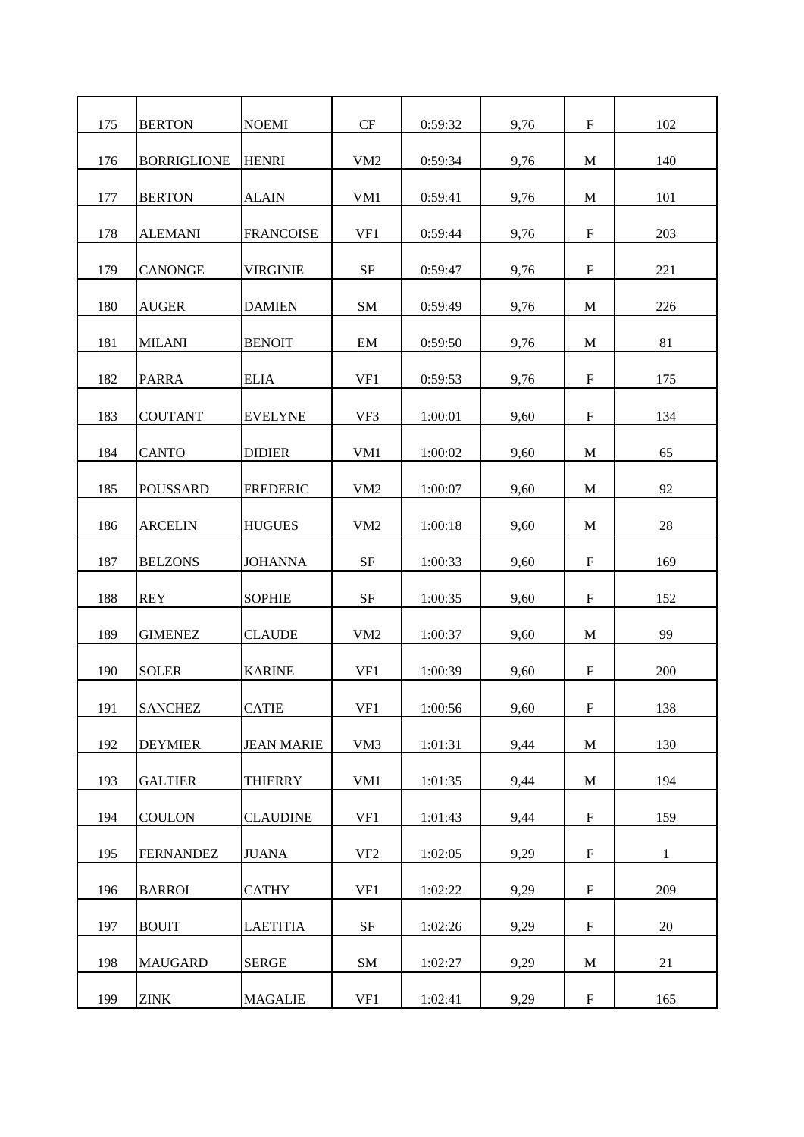| 175 | <b>BERTON</b>      | <b>NOEMI</b>      | CF              | 0:59:32 | 9,76 | $\mathbf F$               | 102          |
|-----|--------------------|-------------------|-----------------|---------|------|---------------------------|--------------|
| 176 | <b>BORRIGLIONE</b> | <b>HENRI</b>      | VM <sub>2</sub> | 0:59:34 | 9,76 | M                         | 140          |
| 177 | <b>BERTON</b>      | <b>ALAIN</b>      | VM1             | 0:59:41 | 9,76 | M                         | 101          |
| 178 | <b>ALEMANI</b>     | <b>FRANCOISE</b>  | VF1             | 0:59:44 | 9,76 | $\mathbf F$               | 203          |
| 179 | <b>CANONGE</b>     | <b>VIRGINIE</b>   | $\rm{SF}$       | 0:59:47 | 9,76 | $\mathbf F$               | 221          |
| 180 | <b>AUGER</b>       | <b>DAMIEN</b>     | SM              | 0:59:49 | 9,76 | M                         | 226          |
| 181 | <b>MILANI</b>      | <b>BENOIT</b>     | EM              | 0:59:50 | 9,76 | M                         | 81           |
| 182 | <b>PARRA</b>       | <b>ELIA</b>       | VF1             | 0:59:53 | 9,76 | $\mathbf F$               | 175          |
| 183 | <b>COUTANT</b>     | <b>EVELYNE</b>    | VF3             | 1:00:01 | 9,60 | $\mathbf F$               | 134          |
| 184 | <b>CANTO</b>       | <b>DIDIER</b>     | VM1             | 1:00:02 | 9,60 | M                         | 65           |
|     |                    |                   |                 |         |      |                           |              |
| 185 | <b>POUSSARD</b>    | <b>FREDERIC</b>   | VM <sub>2</sub> | 1:00:07 | 9,60 | M                         | 92           |
| 186 | <b>ARCELIN</b>     | <b>HUGUES</b>     | VM2             | 1:00:18 | 9,60 | M                         | 28           |
| 187 | <b>BELZONS</b>     | <b>JOHANNA</b>    | <b>SF</b>       | 1:00:33 | 9,60 | $\mathbf F$               | 169          |
| 188 | <b>REY</b>         | <b>SOPHIE</b>     | <b>SF</b>       | 1:00:35 | 9,60 | F                         | 152          |
| 189 | <b>GIMENEZ</b>     | <b>CLAUDE</b>     | VM <sub>2</sub> | 1:00:37 | 9,60 | M                         | 99           |
| 190 | <b>SOLER</b>       | <b>KARINE</b>     | VF1             | 1:00:39 | 9,60 | $\mathbf F$               | 200          |
| 191 | <b>SANCHEZ</b>     | <b>CATIE</b>      | VF1             | 1:00:56 | 9,60 | ${\bf F}$                 | 138          |
| 192 | <b>DEYMIER</b>     | <b>JEAN MARIE</b> | VM <sub>3</sub> | 1:01:31 | 9,44 | M                         | 130          |
| 193 | <b>GALTIER</b>     | <b>THIERRY</b>    | VM1             | 1:01:35 | 9,44 | $\mathbf M$               | 194          |
| 194 | <b>COULON</b>      | <b>CLAUDINE</b>   | VF1             | 1:01:43 | 9,44 | $\mathbf F$               | 159          |
| 195 | <b>FERNANDEZ</b>   | <b>JUANA</b>      | VF <sub>2</sub> | 1:02:05 | 9,29 | $\boldsymbol{\mathrm{F}}$ | $\mathbf{1}$ |
| 196 | <b>BARROI</b>      | <b>CATHY</b>      | VF1             | 1:02:22 | 9,29 | $\mathbf F$               | 209          |
| 197 | <b>BOUIT</b>       | <b>LAETITIA</b>   | $\rm{SF}$       | 1:02:26 | 9,29 | $\boldsymbol{\mathrm{F}}$ | 20           |
|     |                    |                   |                 |         |      |                           |              |
| 198 | <b>MAUGARD</b>     | <b>SERGE</b>      | ${\rm SM}$      | 1:02:27 | 9,29 | $\mathbf M$               | 21           |
| 199 | <b>ZINK</b>        | <b>MAGALIE</b>    | VF1             | 1:02:41 | 9,29 | $\mathbf F$               | 165          |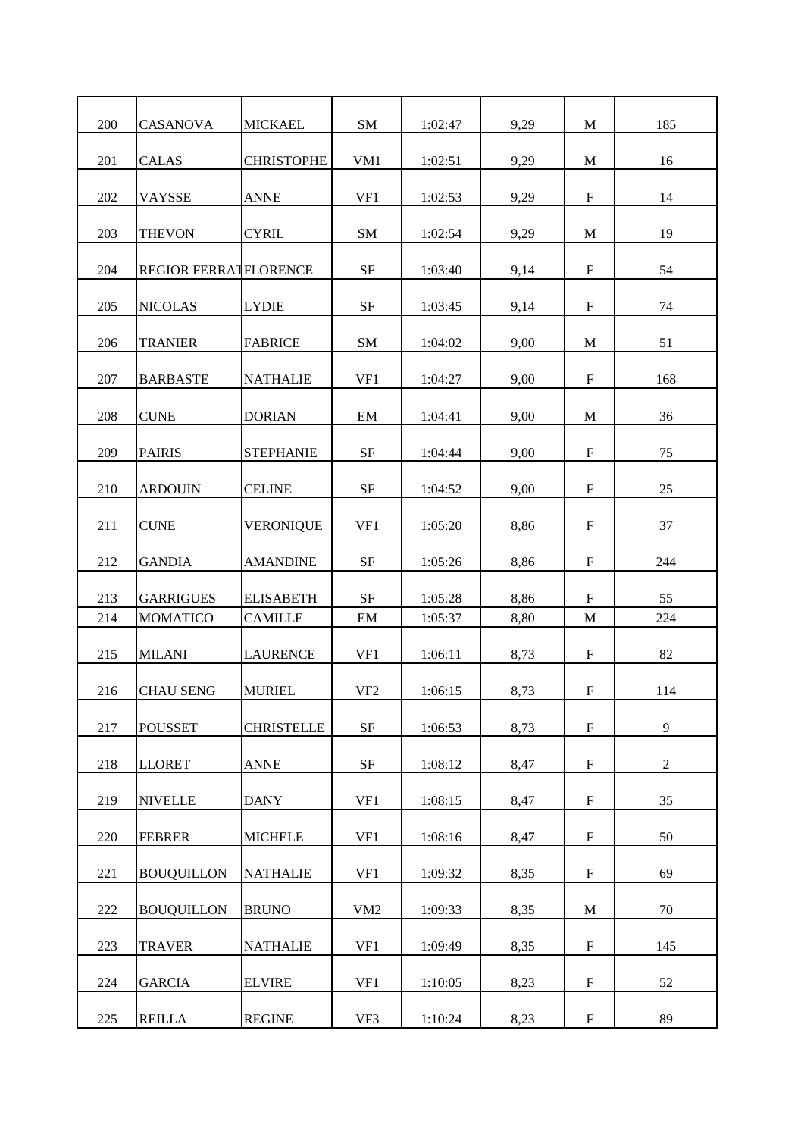| 200 | CASANOVA                     | <b>MICKAEL</b>    | SM              | 1:02:47 | 9,29 | M                         | 185            |
|-----|------------------------------|-------------------|-----------------|---------|------|---------------------------|----------------|
| 201 | <b>CALAS</b>                 | <b>CHRISTOPHE</b> | VM1             | 1:02:51 | 9,29 | M                         | 16             |
| 202 | <b>VAYSSE</b>                | <b>ANNE</b>       | VF1             | 1:02:53 | 9,29 | $\boldsymbol{\mathrm{F}}$ | 14             |
| 203 | <b>THEVON</b>                | <b>CYRIL</b>      | SM              | 1:02:54 | 9,29 | M                         | 19             |
| 204 | <b>REGIOR FERRATFLORENCE</b> |                   | $\rm{SF}$       | 1:03:40 | 9,14 | $\boldsymbol{\mathrm{F}}$ | 54             |
| 205 | <b>NICOLAS</b>               | <b>LYDIE</b>      | <b>SF</b>       | 1:03:45 | 9,14 | $\mathbf F$               | 74             |
| 206 | <b>TRANIER</b>               | <b>FABRICE</b>    | SM              | 1:04:02 | 9,00 | M                         | 51             |
| 207 | <b>BARBASTE</b>              | <b>NATHALIE</b>   | VF1             | 1:04:27 | 9,00 | $\boldsymbol{\mathrm{F}}$ | 168            |
| 208 | <b>CUNE</b>                  | <b>DORIAN</b>     | EM              | 1:04:41 | 9,00 | M                         | 36             |
| 209 | <b>PAIRIS</b>                | <b>STEPHANIE</b>  | <b>SF</b>       | 1:04:44 | 9,00 | $\mathbf F$               | 75             |
| 210 | <b>ARDOUIN</b>               | <b>CELINE</b>     | $\rm{SF}$       | 1:04:52 | 9,00 | $\boldsymbol{\mathrm{F}}$ | 25             |
| 211 | <b>CUNE</b>                  | <b>VERONIQUE</b>  | VF1             | 1:05:20 | 8,86 | $\boldsymbol{\mathrm{F}}$ | 37             |
| 212 | <b>GANDIA</b>                | <b>AMANDINE</b>   | $\rm{SF}$       | 1:05:26 | 8,86 | $\mathbf F$               | 244            |
| 213 | <b>GARRIGUES</b>             | <b>ELISABETH</b>  | <b>SF</b>       | 1:05:28 | 8,86 | $\boldsymbol{\mathrm{F}}$ | 55             |
| 214 | <b>MOMATICO</b>              | <b>CAMILLE</b>    | EM              | 1:05:37 | 8,80 | M                         | 224            |
| 215 | <b>MILANI</b>                | <b>LAURENCE</b>   | VF1             | 1:06:11 | 8,73 | $\mathbf F$               | 82             |
| 216 | <b>CHAU SENG</b>             | <b>MURIEL</b>     | VF <sub>2</sub> | 1:06:15 | 8,73 | $\mathbf F$               | 114            |
| 217 | <b>POUSSET</b>               | <b>CHRISTELLE</b> | $\rm{SF}$       | 1:06:53 | 8,73 | $\mathbf F$               | 9              |
| 218 | <b>LLORET</b>                | <b>ANNE</b>       | $\rm{SF}$       | 1:08:12 | 8,47 | $\mathbf F$               | $\overline{2}$ |
| 219 | <b>NIVELLE</b>               | <b>DANY</b>       | VF1             | 1:08:15 | 8,47 | $\mathbf F$               | 35             |
| 220 | <b>FEBRER</b>                | <b>MICHELE</b>    | VF1             | 1:08:16 | 8,47 | $\boldsymbol{\mathrm{F}}$ | 50             |
| 221 | <b>BOUQUILLON</b>            | <b>NATHALIE</b>   | VF1             | 1:09:32 | 8,35 | $\mathbf F$               | 69             |
| 222 | <b>BOUQUILLON</b>            | <b>BRUNO</b>      | VM2             | 1:09:33 | 8,35 | $\mathbf M$               | 70             |
| 223 | <b>TRAVER</b>                | <b>NATHALIE</b>   | VF1             | 1:09:49 | 8,35 | $\mathbf F$               | 145            |
| 224 | <b>GARCIA</b>                | <b>ELVIRE</b>     | VF1             | 1:10:05 | 8,23 | $\boldsymbol{\mathrm{F}}$ | 52             |
| 225 | <b>REILLA</b>                | <b>REGINE</b>     | VF3             | 1:10:24 | 8,23 | $\mathbf F$               | 89             |